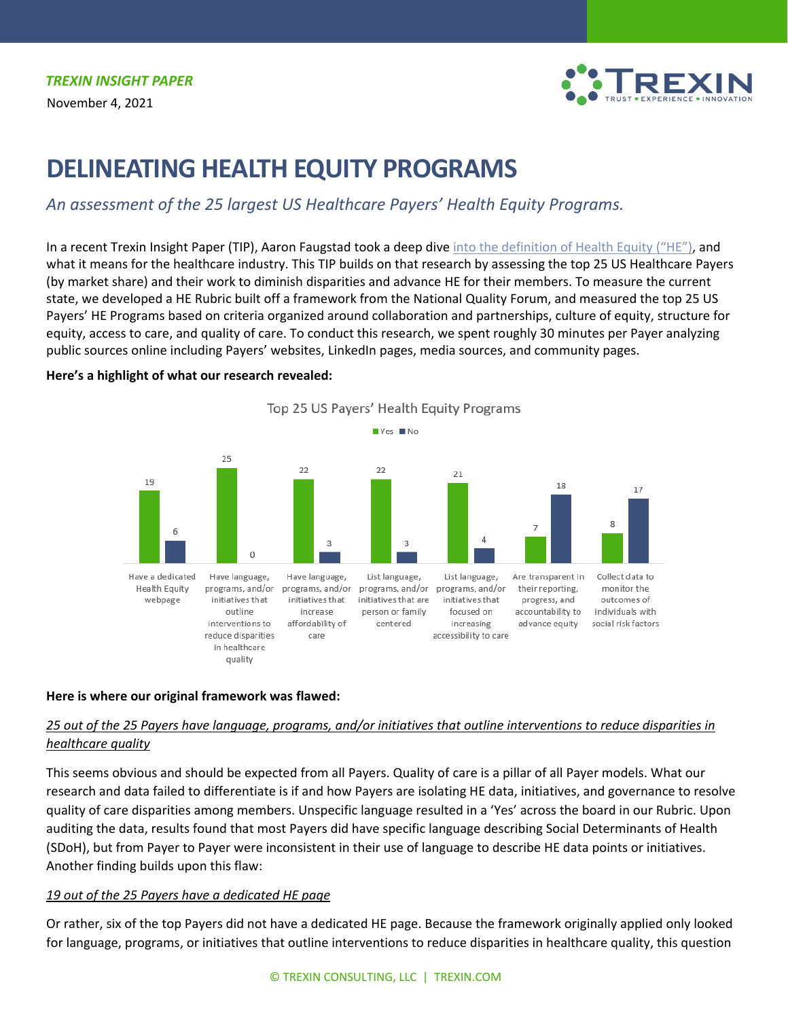

# **DELINEATING HEALTH EQUITY PROGRAMS**

*An assessment of the 25 largest US Healthcare Payers' Health Equity Programs.*

In a recent Trexin Insight Paper (TIP), Aaron Faugstad took a deep dive [into the definition of Health Equity](https://www.trexin.com/understanding-health-equity/) ("HE"), and what it means for the healthcare industry. This TIP builds on that research by assessing the top 25 US Healthcare Payers (by market share) and their work to diminish disparities and advance HE for their members. To measure the current state, we developed a HE Rubric built off a framework from the National Quality Forum, and measured the top 25 US Payers' HE Programs based on criteria organized around collaboration and partnerships, culture of equity, structure for equity, access to care, and quality of care. To conduct this research, we spent roughly 30 minutes per Payer analyzing public sources online including Payers' websites, LinkedIn pages, media sources, and community pages.



## **Here's a highlight of what our research revealed:**

## **Here is where our original framework was flawed:**

## *25 out of the 25 Payers have language, programs, and/or initiatives that outline interventions to reduce disparities in healthcare quality*

This seems obvious and should be expected from all Payers. Quality of care is a pillar of all Payer models. What our research and data failed to differentiate is if and how Payers are isolating HE data, initiatives, and governance to resolve quality of care disparities among members. Unspecific language resulted in a 'Yes' across the board in our Rubric. Upon auditing the data, results found that most Payers did have specific language describing Social Determinants of Health (SDoH), but from Payer to Payer were inconsistent in their use of language to describe HE data points or initiatives. Another finding builds upon this flaw:

## *19 out of the 25 Payers have a dedicated HE page*

Or rather, six of the top Payers did not have a dedicated HE page. Because the framework originally applied only looked for language, programs, or initiatives that outline interventions to reduce disparities in healthcare quality, this question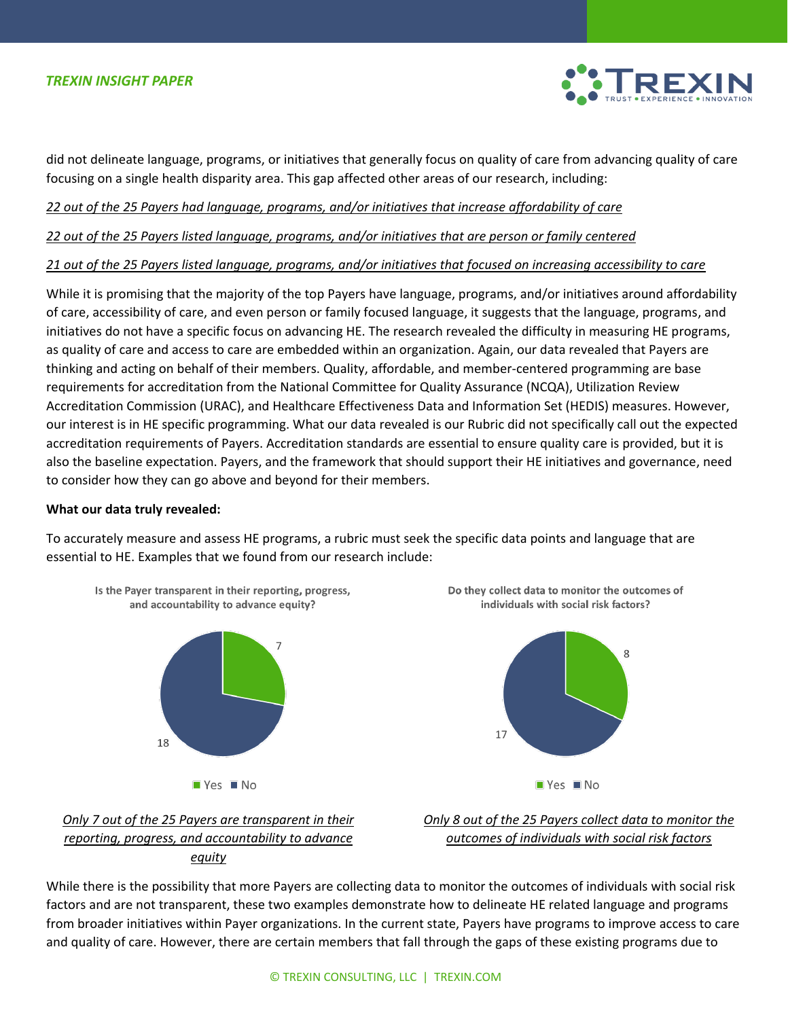

did not delineate language, programs, or initiatives that generally focus on quality of care from advancing quality of care focusing on a single health disparity area. This gap affected other areas of our research, including:

*22 out of the 25 Payers had language, programs, and/or initiatives that increase affordability of care*

*22 out of the 25 Payers listed language, programs, and/or initiatives that are person or family centered*

*21 out of the 25 Payers listed language, programs, and/or initiatives that focused on increasing accessibility to care*

While it is promising that the majority of the top Payers have language, programs, and/or initiatives around affordability of care, accessibility of care, and even person or family focused language, it suggests that the language, programs, and initiatives do not have a specific focus on advancing HE. The research revealed the difficulty in measuring HE programs, as quality of care and access to care are embedded within an organization. Again, our data revealed that Payers are thinking and acting on behalf of their members. Quality, affordable, and member-centered programming are base requirements for accreditation from the National Committee for Quality Assurance (NCQA), Utilization Review Accreditation Commission (URAC), and Healthcare Effectiveness Data and Information Set (HEDIS) measures. However, our interest is in HE specific programming. What our data revealed is our Rubric did not specifically call out the expected accreditation requirements of Payers. Accreditation standards are essential to ensure quality care is provided, but it is also the baseline expectation. Payers, and the framework that should support their HE initiatives and governance, need to consider how they can go above and beyond for their members.

## **What our data truly revealed:**

To accurately measure and assess HE programs, a rubric must seek the specific data points and language that are essential to HE. Examples that we found from our research include:









*Only 8 out of the 25 Payers collect data to monitor the outcomes of individuals with social risk factors*

While there is the possibility that more Payers are collecting data to monitor the outcomes of individuals with social risk factors and are not transparent, these two examples demonstrate how to delineate HE related language and programs from broader initiatives within Payer organizations. In the current state, Payers have programs to improve access to care and quality of care. However, there are certain members that fall through the gaps of these existing programs due to